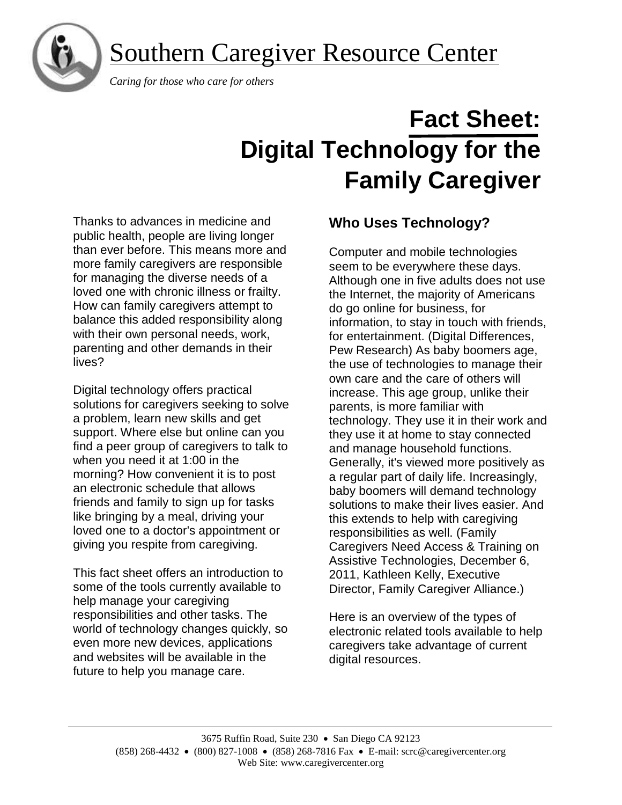Southern Caregiver Resource Center



 *Caring for those who care for others*

# **Fact Sheet: Digital Technology for the Family Caregiver**

Thanks to advances in medicine and public health, people are living longer than ever before. This means more and more family caregivers are responsible for managing the diverse needs of a loved one with chronic illness or frailty. How can family caregivers attempt to balance this added responsibility along with their own personal needs, work, parenting and other demands in their lives?

Digital technology offers practical solutions for caregivers seeking to solve a problem, learn new skills and get support. Where else but online can you find a peer group of caregivers to talk to when you need it at 1:00 in the morning? How convenient it is to post an electronic schedule that allows friends and family to sign up for tasks like bringing by a meal, driving your loved one to a doctor's appointment or giving you respite from caregiving.

This fact sheet offers an introduction to some of the tools currently available to help manage your caregiving responsibilities and other tasks. The world of technology changes quickly, so even more new devices, applications and websites will be available in the future to help you manage care.

# **Who Uses Technology?**

Computer and mobile technologies seem to be everywhere these days. Although one in five adults does not use the Internet, the majority of Americans do go online for business, for information, to stay in touch with friends, for entertainment. (Digital Differences, Pew Research) As baby boomers age, the use of technologies to manage their own care and the care of others will increase. This age group, unlike their parents, is more familiar with technology. They use it in their work and they use it at home to stay connected and manage household functions. Generally, it's viewed more positively as a regular part of daily life. Increasingly, baby boomers will demand technology solutions to make their lives easier. And this extends to help with caregiving responsibilities as well. (Family Caregivers Need Access & Training on Assistive Technologies, December 6, 2011, Kathleen Kelly, Executive Director, Family Caregiver Alliance.)

Here is an overview of the types of electronic related tools available to help caregivers take advantage of current digital resources.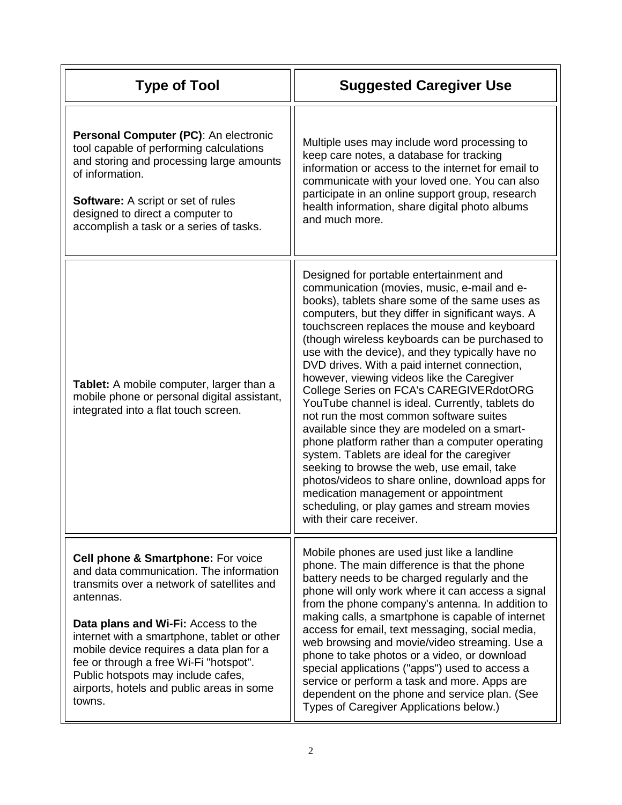| <b>Type of Tool</b>                                                                                                                                                                                                                                                                                                                                                                                               | <b>Suggested Caregiver Use</b>                                                                                                                                                                                                                                                                                                                                                                                                                                                                                                                                                                                                                                                                                                                                                                                                                                                                                                                                    |
|-------------------------------------------------------------------------------------------------------------------------------------------------------------------------------------------------------------------------------------------------------------------------------------------------------------------------------------------------------------------------------------------------------------------|-------------------------------------------------------------------------------------------------------------------------------------------------------------------------------------------------------------------------------------------------------------------------------------------------------------------------------------------------------------------------------------------------------------------------------------------------------------------------------------------------------------------------------------------------------------------------------------------------------------------------------------------------------------------------------------------------------------------------------------------------------------------------------------------------------------------------------------------------------------------------------------------------------------------------------------------------------------------|
| Personal Computer (PC): An electronic<br>tool capable of performing calculations<br>and storing and processing large amounts<br>of information.<br><b>Software:</b> A script or set of rules<br>designed to direct a computer to<br>accomplish a task or a series of tasks.                                                                                                                                       | Multiple uses may include word processing to<br>keep care notes, a database for tracking<br>information or access to the internet for email to<br>communicate with your loved one. You can also<br>participate in an online support group, research<br>health information, share digital photo albums<br>and much more.                                                                                                                                                                                                                                                                                                                                                                                                                                                                                                                                                                                                                                           |
| Tablet: A mobile computer, larger than a<br>mobile phone or personal digital assistant,<br>integrated into a flat touch screen.                                                                                                                                                                                                                                                                                   | Designed for portable entertainment and<br>communication (movies, music, e-mail and e-<br>books), tablets share some of the same uses as<br>computers, but they differ in significant ways. A<br>touchscreen replaces the mouse and keyboard<br>(though wireless keyboards can be purchased to<br>use with the device), and they typically have no<br>DVD drives. With a paid internet connection,<br>however, viewing videos like the Caregiver<br>College Series on FCA's CAREGIVERdotORG<br>YouTube channel is ideal. Currently, tablets do<br>not run the most common software suites<br>available since they are modeled on a smart-<br>phone platform rather than a computer operating<br>system. Tablets are ideal for the caregiver<br>seeking to browse the web, use email, take<br>photos/videos to share online, download apps for<br>medication management or appointment<br>scheduling, or play games and stream movies<br>with their care receiver. |
| Cell phone & Smartphone: For voice<br>and data communication. The information<br>transmits over a network of satellites and<br>antennas.<br>Data plans and Wi-Fi: Access to the<br>internet with a smartphone, tablet or other<br>mobile device requires a data plan for a<br>fee or through a free Wi-Fi "hotspot".<br>Public hotspots may include cafes,<br>airports, hotels and public areas in some<br>towns. | Mobile phones are used just like a landline<br>phone. The main difference is that the phone<br>battery needs to be charged regularly and the<br>phone will only work where it can access a signal<br>from the phone company's antenna. In addition to<br>making calls, a smartphone is capable of internet<br>access for email, text messaging, social media,<br>web browsing and movie/video streaming. Use a<br>phone to take photos or a video, or download<br>special applications ("apps") used to access a<br>service or perform a task and more. Apps are<br>dependent on the phone and service plan. (See<br>Types of Caregiver Applications below.)                                                                                                                                                                                                                                                                                                      |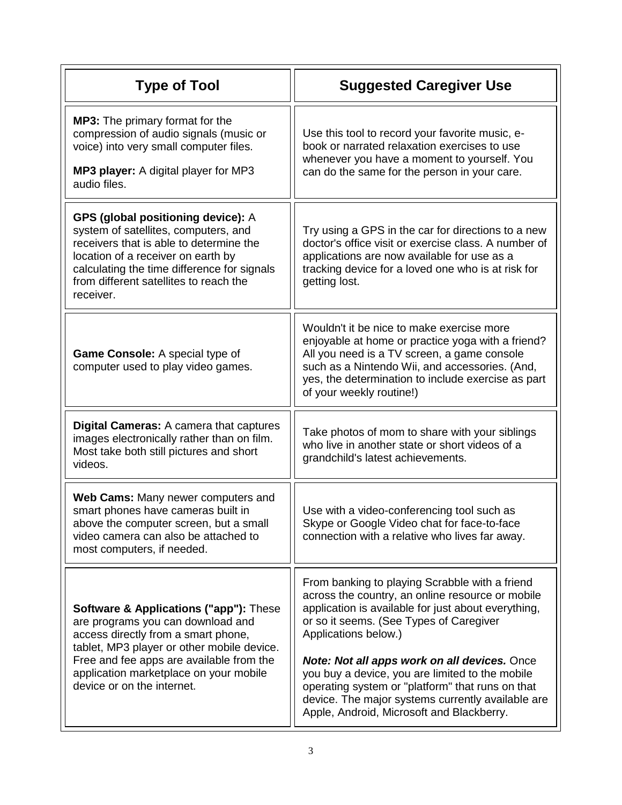| <b>Type of Tool</b>                                                                                                                                                                                                                                                                             | <b>Suggested Caregiver Use</b>                                                                                                                                                                                                                                                    |
|-------------------------------------------------------------------------------------------------------------------------------------------------------------------------------------------------------------------------------------------------------------------------------------------------|-----------------------------------------------------------------------------------------------------------------------------------------------------------------------------------------------------------------------------------------------------------------------------------|
| <b>MP3:</b> The primary format for the<br>compression of audio signals (music or<br>voice) into very small computer files.<br><b>MP3 player:</b> A digital player for MP3<br>audio files.                                                                                                       | Use this tool to record your favorite music, e-<br>book or narrated relaxation exercises to use<br>whenever you have a moment to yourself. You<br>can do the same for the person in your care.                                                                                    |
| <b>GPS (global positioning device): A</b><br>system of satellites, computers, and<br>receivers that is able to determine the<br>location of a receiver on earth by<br>calculating the time difference for signals<br>from different satellites to reach the<br>receiver.                        | Try using a GPS in the car for directions to a new<br>doctor's office visit or exercise class. A number of<br>applications are now available for use as a<br>tracking device for a loved one who is at risk for<br>getting lost.                                                  |
| Game Console: A special type of<br>computer used to play video games.                                                                                                                                                                                                                           | Wouldn't it be nice to make exercise more<br>enjoyable at home or practice yoga with a friend?<br>All you need is a TV screen, a game console<br>such as a Nintendo Wii, and accessories. (And,<br>yes, the determination to include exercise as part<br>of your weekly routine!) |
| <b>Digital Cameras:</b> A camera that captures<br>images electronically rather than on film.<br>Most take both still pictures and short<br>videos.                                                                                                                                              | Take photos of mom to share with your siblings<br>who live in another state or short videos of a<br>grandchild's latest achievements.                                                                                                                                             |
| Web Cams: Many newer computers and<br>smart phones have cameras built in<br>above the computer screen, but a small<br>video camera can also be attached to<br>most computers, if needed.                                                                                                        | Use with a video-conferencing tool such as<br>Skype or Google Video chat for face-to-face<br>connection with a relative who lives far away.                                                                                                                                       |
| <b>Software &amp; Applications ("app"): These</b><br>are programs you can download and<br>access directly from a smart phone,<br>tablet, MP3 player or other mobile device.<br>Free and fee apps are available from the<br>application marketplace on your mobile<br>device or on the internet. | From banking to playing Scrabble with a friend<br>across the country, an online resource or mobile<br>application is available for just about everything,<br>or so it seems. (See Types of Caregiver<br>Applications below.)                                                      |
|                                                                                                                                                                                                                                                                                                 | Note: Not all apps work on all devices. Once<br>you buy a device, you are limited to the mobile<br>operating system or "platform" that runs on that<br>device. The major systems currently available are<br>Apple, Android, Microsoft and Blackberry.                             |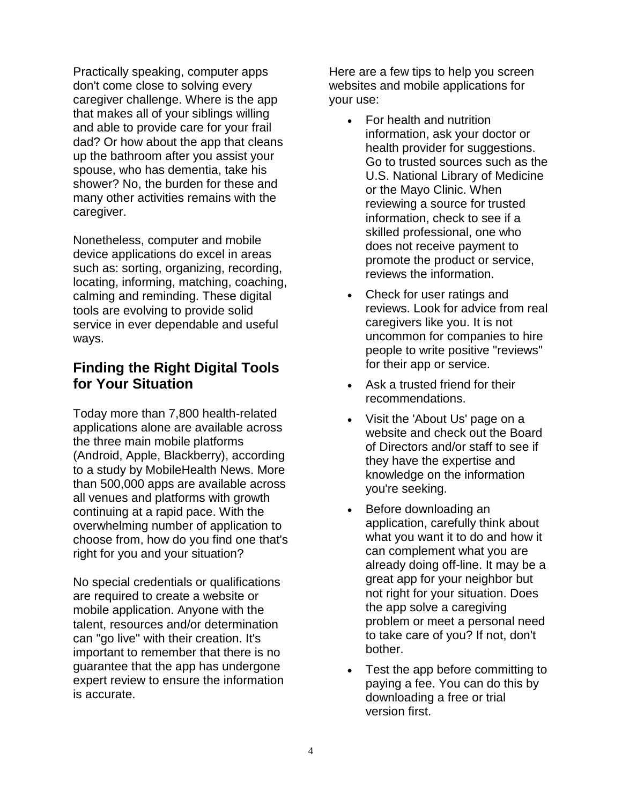Practically speaking, computer apps don't come close to solving every caregiver challenge. Where is the app that makes all of your siblings willing and able to provide care for your frail dad? Or how about the app that cleans up the bathroom after you assist your spouse, who has dementia, take his shower? No, the burden for these and many other activities remains with the caregiver.

Nonetheless, computer and mobile device applications do excel in areas such as: sorting, organizing, recording, locating, informing, matching, coaching, calming and reminding. These digital tools are evolving to provide solid service in ever dependable and useful ways.

## **Finding the Right Digital Tools for Your Situation**

Today more than 7,800 health-related applications alone are available across the three main mobile platforms (Android, Apple, Blackberry), according to a study by MobileHealth News. More than 500,000 apps are available across all venues and platforms with growth continuing at a rapid pace. With the overwhelming number of application to choose from, how do you find one that's right for you and your situation?

No special credentials or qualifications are required to create a website or mobile application. Anyone with the talent, resources and/or determination can "go live" with their creation. It's important to remember that there is no guarantee that the app has undergone expert review to ensure the information is accurate.

Here are a few tips to help you screen websites and mobile applications for your use:

- For health and nutrition information, ask your doctor or health provider for suggestions. Go to trusted sources such as the U.S. National Library of Medicine or the Mayo Clinic. When reviewing a source for trusted information, check to see if a skilled professional, one who does not receive payment to promote the product or service, reviews the information.
- Check for user ratings and reviews. Look for advice from real caregivers like you. It is not uncommon for companies to hire people to write positive "reviews" for their app or service.
- Ask a trusted friend for their recommendations.
- Visit the 'About Us' page on a website and check out the Board of Directors and/or staff to see if they have the expertise and knowledge on the information you're seeking.
- Before downloading an application, carefully think about what you want it to do and how it can complement what you are already doing off-line. It may be a great app for your neighbor but not right for your situation. Does the app solve a caregiving problem or meet a personal need to take care of you? If not, don't bother.
- Test the app before committing to paying a fee. You can do this by downloading a free or trial version first.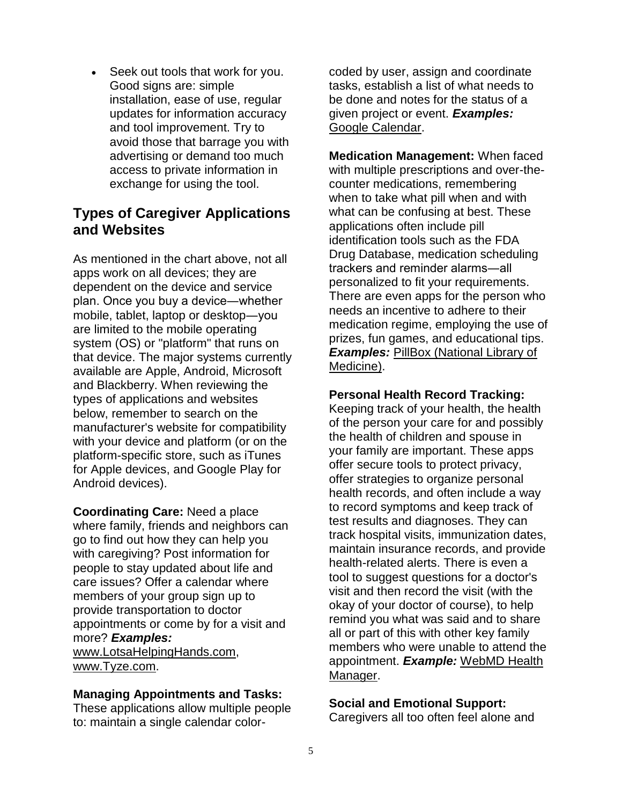Seek out tools that work for you. Good signs are: simple installation, ease of use, regular updates for information accuracy and tool improvement. Try to avoid those that barrage you with advertising or demand too much access to private information in exchange for using the tool.

## **Types of Caregiver Applications and Websites**

As mentioned in the chart above, not all apps work on all devices; they are dependent on the device and service plan. Once you buy a device―whether mobile, tablet, laptop or desktop―you are limited to the mobile operating system (OS) or "platform" that runs on that device. The major systems currently available are Apple, Android, Microsoft and Blackberry. When reviewing the types of applications and websites below, remember to search on the manufacturer's website for compatibility with your device and platform (or on the platform-specific store, such as iTunes for Apple devices, and Google Play for Android devices).

**Coordinating Care:** Need a place where family, friends and neighbors can go to find out how they can help you with caregiving? Post information for people to stay updated about life and care issues? Offer a calendar where members of your group sign up to provide transportation to doctor appointments or come by for a visit and more? *Examples:* [www.LotsaHelpingHands.com,](http://www.lotsahelpinghands.com/) [www.Tyze.com.](http://www.tyze.com/)

#### **Managing Appointments and Tasks:**

These applications allow multiple people to: maintain a single calendar colorcoded by user, assign and coordinate tasks, establish a list of what needs to be done and notes for the status of a given project or event. *Examples:* [Google Calendar.](http://support.google.com/calendar/bin/answer.py?hl=en&answer=2465776)

**Medication Management:** When faced with multiple prescriptions and over-thecounter medications, remembering when to take what pill when and with what can be confusing at best. These applications often include pill identification tools such as the FDA Drug Database, medication scheduling trackers and reminder alarms―all personalized to fit your requirements. There are even apps for the person who needs an incentive to adhere to their medication regime, employing the use of prizes, fun games, and educational tips. *Examples: PillBox (National Library of* [Medicine\).](http://pillbox.nlm.nih.gov/)

#### **Personal Health Record Tracking:**

Keeping track of your health, the health of the person your care for and possibly the health of children and spouse in your family are important. These apps offer secure tools to protect privacy, offer strategies to organize personal health records, and often include a way to record symptoms and keep track of test results and diagnoses. They can track hospital visits, immunization dates, maintain insurance records, and provide health-related alerts. There is even a tool to suggest questions for a doctor's visit and then record the visit (with the okay of your doctor of course), to help remind you what was said and to share all or part of this with other key family members who were unable to attend the appointment. *Example:* [WebMD Health](http://www.webmd.com/health-manager)  [Manager.](http://www.webmd.com/health-manager)

#### **Social and Emotional Support:**

Caregivers all too often feel alone and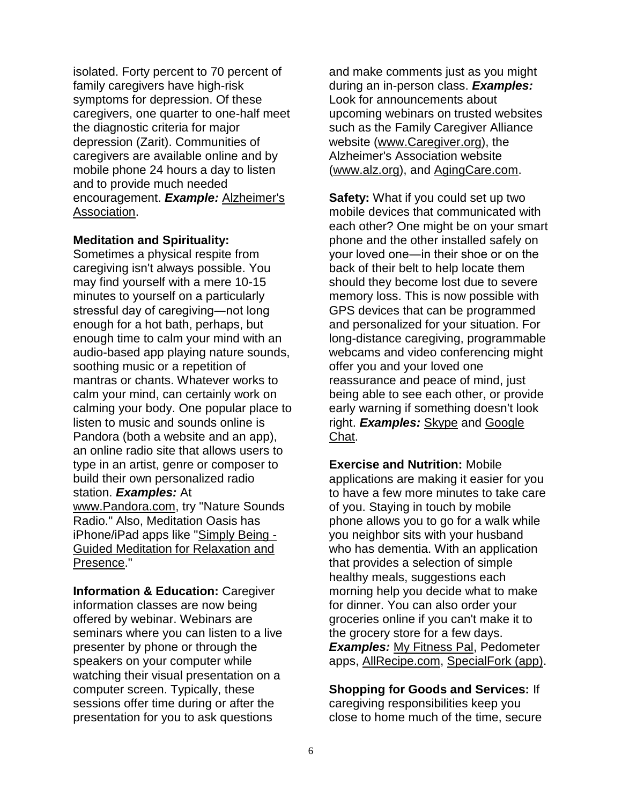isolated. Forty percent to 70 percent of family caregivers have high-risk symptoms for depression. Of these caregivers, one quarter to one-half meet the diagnostic criteria for major depression (Zarit). Communities of caregivers are available online and by mobile phone 24 hours a day to listen and to provide much needed encouragement. *Example:* [Alzheimer's](http://www.alz.org/)  [Association.](http://www.alz.org/)

#### **Meditation and Spirituality:**

Sometimes a physical respite from caregiving isn't always possible. You may find yourself with a mere 10-15 minutes to yourself on a particularly stressful day of caregiving―not long enough for a hot bath, perhaps, but enough time to calm your mind with an audio-based app playing nature sounds, soothing music or a repetition of mantras or chants. Whatever works to calm your mind, can certainly work on calming your body. One popular place to listen to music and sounds online is Pandora (both a website and an app), an online radio site that allows users to type in an artist, genre or composer to build their own personalized radio station. *Examples:* At [www.Pandora.com,](http://www.pandora.com/) try "Nature Sounds Radio." Also, Meditation Oasis has iPhone/iPad apps like ["Simply Being -](http://www.meditationoasis.com/smartphone-apps/iphone-application-support/simply-being/) [Guided Meditation for Relaxation and](http://www.meditationoasis.com/smartphone-apps/iphone-application-support/simply-being/)  [Presence.](http://www.meditationoasis.com/smartphone-apps/iphone-application-support/simply-being/)"

**Information & Education:** Caregiver information classes are now being offered by webinar. Webinars are seminars where you can listen to a live presenter by phone or through the speakers on your computer while watching their visual presentation on a computer screen. Typically, these sessions offer time during or after the presentation for you to ask questions

and make comments just as you might during an in-person class. *Examples:* Look for announcements about upcoming webinars on trusted websites such as the Family Caregiver Alliance website [\(www.Caregiver.org\)](http://www.caregiver.org/), the Alzheimer's Association website [\(www.alz.org\)](http://www.alz.org/), and [AgingCare.com.](http://www.agingcare.com/)

**Safety:** What if you could set up two mobile devices that communicated with each other? One might be on your smart phone and the other installed safely on your loved one―in their shoe or on the back of their belt to help locate them should they become lost due to severe memory loss. This is now possible with GPS devices that can be programmed and personalized for your situation. For long-distance caregiving, programmable webcams and video conferencing might offer you and your loved one reassurance and peace of mind, just being able to see each other, or provide early warning if something doesn't look right. *Examples:* [Skype](http://www.skype.com/) and [Google](http://www.google.com/talk/)  [Chat.](http://www.google.com/talk/)

**Exercise and Nutrition:** Mobile applications are making it easier for you to have a few more minutes to take care of you. Staying in touch by mobile phone allows you to go for a walk while you neighbor sits with your husband who has dementia. With an application that provides a selection of simple healthy meals, suggestions each morning help you decide what to make for dinner. You can also order your groceries online if you can't make it to the grocery store for a few days. *Examples:* [My Fitness Pal,](http://www.myfitnesspal.com/) Pedometer apps, [AllRecipe.com,](http://allrecipes.com/) [SpecialFork \(app\).](http://about.specialfork.com/)

**Shopping for Goods and Services:** If caregiving responsibilities keep you close to home much of the time, secure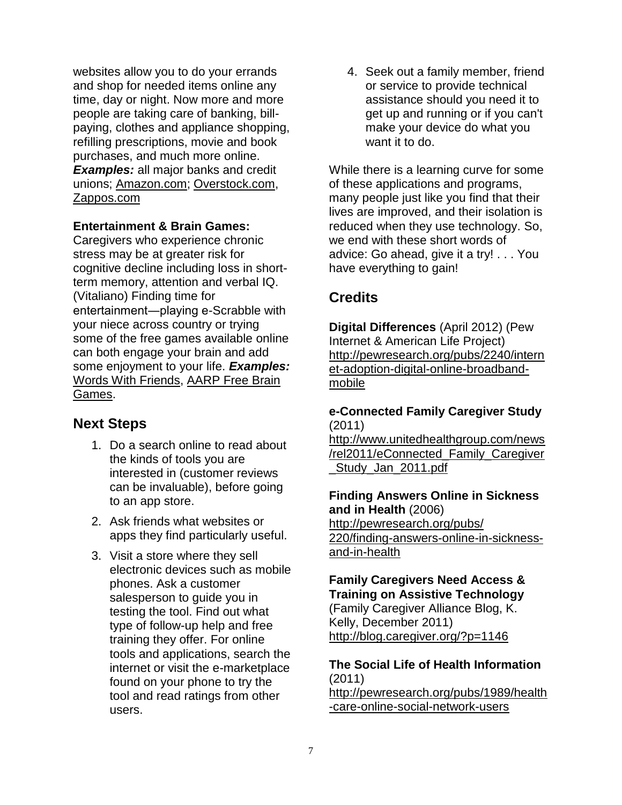websites allow you to do your errands and shop for needed items online any time, day or night. Now more and more people are taking care of banking, billpaying, clothes and appliance shopping, refilling prescriptions, movie and book purchases, and much more online. *Examples:* all major banks and credit unions; [Amazon.com;](http://www.amazon.com/) [Overstock.com,](http://www.overstock.com/) [Zappos.com](http://www.zappos.com/)

#### **Entertainment & Brain Games:**

Caregivers who experience chronic stress may be at greater risk for cognitive decline including loss in shortterm memory, attention and verbal IQ. (Vitaliano) Finding time for entertainment―playing e-Scrabble with your niece across country or trying some of the free games available online can both engage your brain and add some enjoyment to your life. *Examples:* [Words With Friends,](http://www.wordswithfriends.com/) [AARP Free Brain](http://games.aarp.org/)  [Games.](http://games.aarp.org/)

## **Next Steps**

- 1. Do a search online to read about the kinds of tools you are interested in (customer reviews can be invaluable), before going to an app store.
- 2. Ask friends what websites or apps they find particularly useful.
- 3. Visit a store where they sell electronic devices such as mobile phones. Ask a customer salesperson to guide you in testing the tool. Find out what type of follow-up help and free training they offer. For online tools and applications, search the internet or visit the e-marketplace found on your phone to try the tool and read ratings from other users.

4. Seek out a family member, friend or service to provide technical assistance should you need it to get up and running or if you can't make your device do what you want it to do.

While there is a learning curve for some of these applications and programs, many people just like you find that their lives are improved, and their isolation is reduced when they use technology. So, we end with these short words of advice: Go ahead, give it a try! . . . You have everything to gain!

# **Credits**

**Digital Differences** (April 2012) (Pew Internet & American Life Project) [http://pewresearch.org/pubs/2240/intern](http://pewresearch.org/pubs/2240/internet-adoption-digital-online-broadband-mobile) [et-adoption-digital-online-broadband](http://pewresearch.org/pubs/2240/internet-adoption-digital-online-broadband-mobile)[mobile](http://pewresearch.org/pubs/2240/internet-adoption-digital-online-broadband-mobile)

#### **e-Connected Family Caregiver Study** (2011)

[http://www.unitedhealthgroup.com/news](http://www.unitedhealthgroup.com/news/rel2011/eConnected_Family_Caregiver_Study_Jan_2011.pdf) [/rel2011/eConnected\\_Family\\_Caregiver](http://www.unitedhealthgroup.com/news/rel2011/eConnected_Family_Caregiver_Study_Jan_2011.pdf) Study\_Jan\_2011.pdf

#### **Finding Answers Online in Sickness and in Health** (2006)

[http://pewresearch.org/pubs/](http://pewresearch.org/pubs/220/finding-answers-online-in-sickness-and-in-health)  [220/finding-answers-online-in-sickness](http://pewresearch.org/pubs/220/finding-answers-online-in-sickness-and-in-health)[and-in-health](http://pewresearch.org/pubs/220/finding-answers-online-in-sickness-and-in-health)

#### **Family Caregivers Need Access & Training on Assistive Technology** (Family Caregiver Alliance Blog, K. Kelly, December 2011)

<http://blog.caregiver.org/?p=1146>

## **The Social Life of Health Information** (2011)

[http://pewresearch.org/pubs/1989/health](http://pewresearch.org/pubs/1989/health-care-online-social-network-users) [-care-online-social-network-users](http://pewresearch.org/pubs/1989/health-care-online-social-network-users)